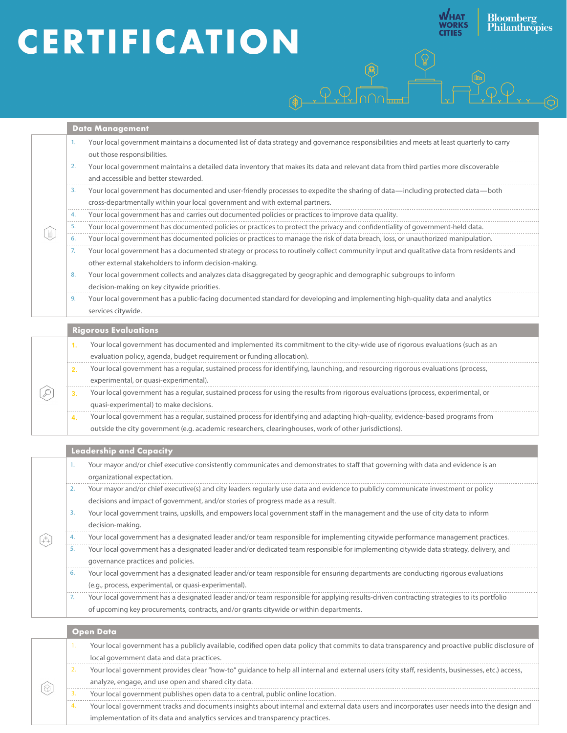# **CERTIFICATION**

**Bloomberg**<br>Philanthropies

**WHAT<br>WORKS<br>CITIES** 

|  | Data Management                                                                                                                                                                                                                                                                                                             |
|--|-----------------------------------------------------------------------------------------------------------------------------------------------------------------------------------------------------------------------------------------------------------------------------------------------------------------------------|
|  | Your local government maintains a documented list of data strategy and governance responsibilities and meets at least quarterly to carry<br>1.<br>out those responsibilities.<br>Your local government maintains a detailed data inventory that makes its data and relevant data from third parties more discoverable<br>2. |
|  | and accessible and better stewarded.                                                                                                                                                                                                                                                                                        |
|  | Your local government has documented and user-friendly processes to expedite the sharing of data-including protected data-both<br>3.<br>cross-departmentally within your local government and with external partners.                                                                                                       |
|  | Your local government has and carries out documented policies or practices to improve data quality.<br>4.                                                                                                                                                                                                                   |
|  | Your local government has documented policies or practices to protect the privacy and confidentiality of government-held data.<br>5.                                                                                                                                                                                        |
|  | Your local government has documented policies or practices to manage the risk of data breach, loss, or unauthorized manipulation.<br>6.                                                                                                                                                                                     |
|  | Your local government has a documented strategy or process to routinely collect community input and qualitative data from residents and<br>7.<br>other external stakeholders to inform decision-making.                                                                                                                     |
|  | Your local government collects and analyzes data disaggregated by geographic and demographic subgroups to inform<br>8.                                                                                                                                                                                                      |
|  | decision-making on key citywide priorities.                                                                                                                                                                                                                                                                                 |
|  | Your local government has a public-facing documented standard for developing and implementing high-quality data and analytics<br>9.<br>services citywide.                                                                                                                                                                   |
|  | <b>Rigorous Evaluations</b>                                                                                                                                                                                                                                                                                                 |
|  | Your local government has documented and implemented its commitment to the city-wide use of rigorous evaluations (such as an<br>1.                                                                                                                                                                                          |
|  | evaluation policy, agenda, budget requirement or funding allocation).                                                                                                                                                                                                                                                       |
|  | Your local government has a regular, sustained process for identifying, launching, and resourcing rigorous evaluations (process,<br>2.                                                                                                                                                                                      |
|  | experimental, or quasi-experimental).                                                                                                                                                                                                                                                                                       |
|  | Your local government has a regular, sustained process for using the results from rigorous evaluations (process, experimental, or<br>3.                                                                                                                                                                                     |
|  | quasi-experimental) to make decisions.                                                                                                                                                                                                                                                                                      |
|  | Your local government has a regular, sustained process for identifying and adapting high-quality, evidence-based programs from<br>4.                                                                                                                                                                                        |
|  | outside the city government (e.g. academic researchers, clearinghouses, work of other jurisdictions).                                                                                                                                                                                                                       |
|  | <b>Leadership and Capacity</b>                                                                                                                                                                                                                                                                                              |
|  | Your mayor and/or chief executive consistently communicates and demonstrates to staff that governing with data and evidence is an<br>1.                                                                                                                                                                                     |
|  | organizational expectation.                                                                                                                                                                                                                                                                                                 |
|  | Your mayor and/or chief executive(s) and city leaders regularly use data and evidence to publicly communicate investment or policy<br>2.                                                                                                                                                                                    |
|  | decisions and impact of government, and/or stories of progress made as a result.                                                                                                                                                                                                                                            |
|  | Your local government trains, upskills, and empowers local government staff in the management and the use of city data to inform<br>3.<br>decision-making.                                                                                                                                                                  |
|  | Your local government has a designated leader and/or team responsible for implementing citywide performance management practices.<br>4.                                                                                                                                                                                     |
|  | Your local government has a designated leader and/or dedicated team responsible for implementing citywide data strategy, delivery, and<br>5.<br>governance practices and policies.                                                                                                                                          |
|  | Your local government has a designated leader and/or team responsible for ensuring departments are conducting rigorous evaluations<br>6.                                                                                                                                                                                    |
|  | (e.g., process, experimental, or quasi-experimental).                                                                                                                                                                                                                                                                       |
|  | Your local government has a designated leader and/or team responsible for applying results-driven contracting strategies to its portfolio<br>7.                                                                                                                                                                             |
|  | of upcoming key procurements, contracts, and/or grants citywide or within departments.                                                                                                                                                                                                                                      |
|  | <b>Open Data</b>                                                                                                                                                                                                                                                                                                            |
|  | Your local government has a publicly available, codified open data policy that commits to data transparency and proactive public disclosure of<br>1.                                                                                                                                                                        |
|  | local government data and data practices.                                                                                                                                                                                                                                                                                   |
|  | Your local government provides clear "how-to" guidance to help all internal and external users (city staff, residents, businesses, etc.) access,<br>2.                                                                                                                                                                      |
|  | analyze, engage, and use open and shared city data.                                                                                                                                                                                                                                                                         |
|  | Your local government publishes open data to a central, public online location.<br>3.                                                                                                                                                                                                                                       |
|  | $\cdots$<br>Your local government tracks and documents insights about internal and external data users and incorporates user needs into the design and<br>4.                                                                                                                                                                |

implementation of its data and analytics services and transparency practices.